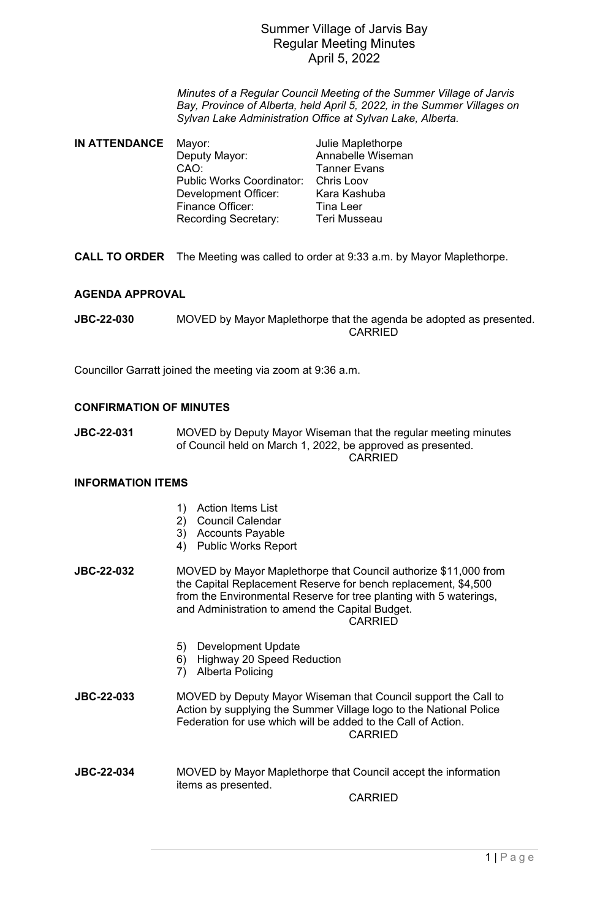## Summer Village of Jarvis Bay Regular Meeting Minutes April 5, 2022

*Minutes of a Regular Council Meeting of the Summer Village of Jarvis Bay, Province of Alberta, held April 5, 2022, in the Summer Villages on Sylvan Lake Administration Office at Sylvan Lake, Alberta.*

| IN ATTENDANCE | Mayor:                           |  |
|---------------|----------------------------------|--|
|               | Deputy Mayor:                    |  |
|               | CAO:                             |  |
|               | <b>Public Works Coordinator:</b> |  |
|               | <b>Development Officer:</b>      |  |
|               | Finance Officer:                 |  |
|               | <b>Recording Secretary:</b>      |  |
|               |                                  |  |

**Julie Maplethorpe** Annabelle Wiseman **Tanner Evans** Chris Loov Kara Kashuba Tina Leer **Teri Musseau** 

**CALL TO ORDER** The Meeting was called to order at 9:33 a.m. by Mayor Maplethorpe.

## **AGENDA APPROVAL**

**JBC-22-030** MOVED by Mayor Maplethorpe that the agenda be adopted as presented. CARRIED

Councillor Garratt joined the meeting via zoom at 9:36 a.m.

### **CONFIRMATION OF MINUTES**

**JBC-22-031** MOVED by Deputy Mayor Wiseman that the regular meeting minutes of Council held on March 1, 2022, be approved as presented. CARRIED

## **INFORMATION ITEMS**

- 1) Action Items List
- 2) Council Calendar
- 3) Accounts Payable
- 4) Public Works Report
- **JBC-22-032** MOVED by Mayor Maplethorpe that Council authorize \$11,000 from the Capital Replacement Reserve for bench replacement, \$4,500 from the Environmental Reserve for tree planting with 5 waterings, and Administration to amend the Capital Budget. CARRIED
	- 5) Development Update
	- 6) Highway 20 Speed Reduction
	- 7) Alberta Policing
- **JBC-22-033** MOVED by Deputy Mayor Wiseman that Council support the Call to Action by supplying the Summer Village logo to the National Police Federation for use which will be added to the Call of Action. CARRIED
- **JBC-22-034** MOVED by Mayor Maplethorpe that Council accept the information items as presented.

CARRIED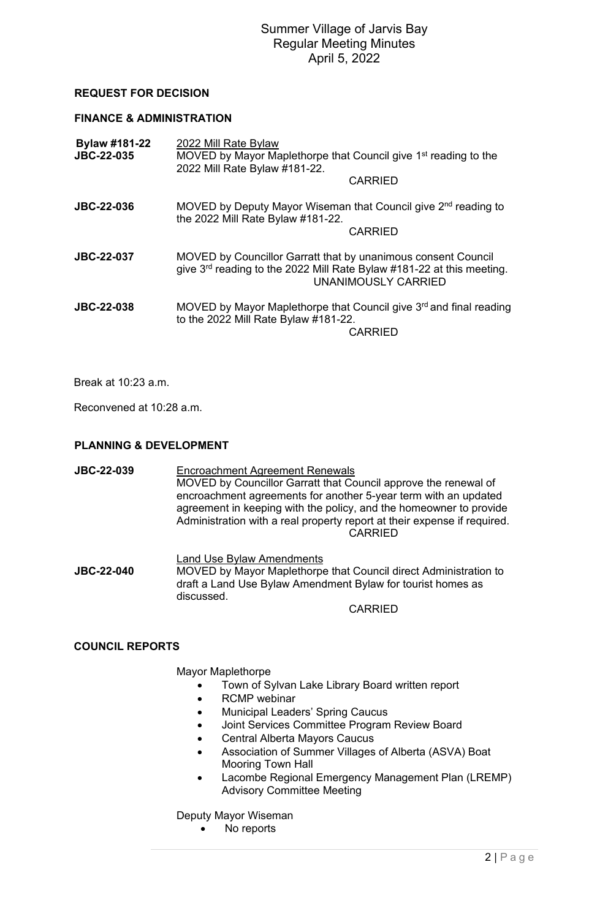# Summer Village of Jarvis Bay Regular Meeting Minutes April 5, 2022

## **REQUEST FOR DECISION**

#### **FINANCE & ADMINISTRATION**

| Bylaw #181-22<br><b>JBC-22-035</b> | 2022 Mill Rate Bylaw<br>MOVED by Mayor Maplethorpe that Council give 1 <sup>st</sup> reading to the<br>2022 Mill Rate Bylaw #181-22.                                   |
|------------------------------------|------------------------------------------------------------------------------------------------------------------------------------------------------------------------|
|                                    | <b>CARRIED</b>                                                                                                                                                         |
| <b>JBC-22-036</b>                  | MOVED by Deputy Mayor Wiseman that Council give 2 <sup>nd</sup> reading to<br>the 2022 Mill Rate Bylaw #181-22.                                                        |
|                                    | <b>CARRIED</b>                                                                                                                                                         |
| <b>JBC-22-037</b>                  | MOVED by Councillor Garratt that by unanimous consent Council<br>give $3rd$ reading to the 2022 Mill Rate Bylaw #181-22 at this meeting.<br><b>UNANIMOUSLY CARRIED</b> |
| <b>JBC-22-038</b>                  | MOVED by Mayor Maplethorpe that Council give 3 <sup>rd</sup> and final reading<br>to the 2022 Mill Rate Bylaw #181-22.<br><b>CARRIED</b>                               |

Break at 10:23 a.m.

Reconvened at 10:28 a.m.

### **PLANNING & DEVELOPMENT**

**JBC-22-039** Encroachment Agreement Renewals MOVED by Councillor Garratt that Council approve the renewal of encroachment agreements for another 5-year term with an updated agreement in keeping with the policy, and the homeowner to provide Administration with a real property report at their expense if required. **CARRIED** 

**Land Use Bylaw Amendments**<br>**MOVED by Mayor Manlethorne**<br>**MOVED by Mayor Manlethorne MOVED by Mayor Maplethorpe that Council direct Administration to** draft a Land Use Bylaw Amendment Bylaw for tourist homes as discussed.

CARRIED

#### **COUNCIL REPORTS**

Mayor Maplethorpe

- Town of Sylvan Lake Library Board written report
	- RCMP webinar
	- Municipal Leaders' Spring Caucus
	- Joint Services Committee Program Review Board
	- Central Alberta Mayors Caucus
	- Association of Summer Villages of Alberta (ASVA) Boat Mooring Town Hall
	- Lacombe Regional Emergency Management Plan (LREMP) Advisory Committee Meeting

Deputy Mayor Wiseman

• No reports